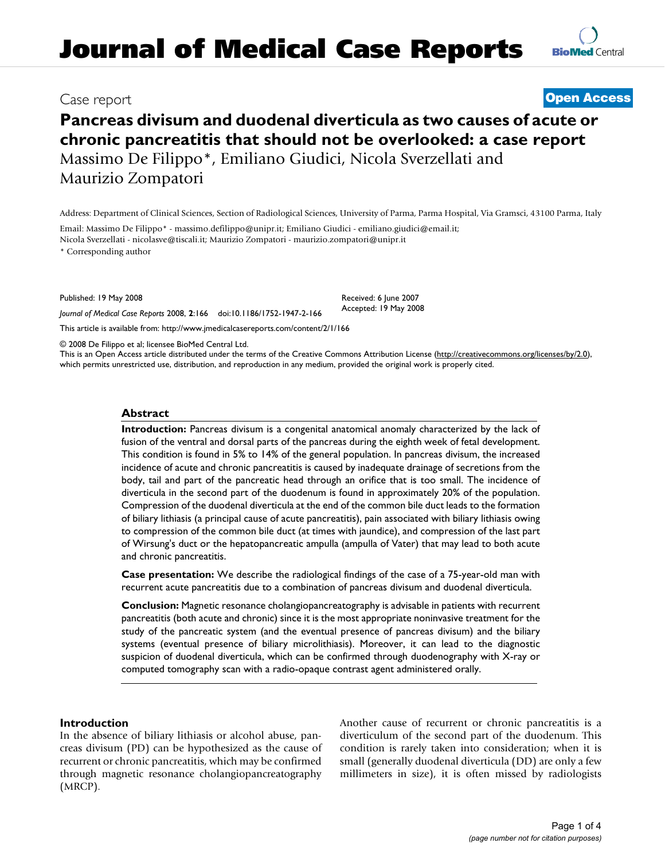**Pancreas divisum and duodenal diverticula as two causes of acute or chronic pancreatitis that should not be overlooked: a case report** Massimo De Filippo\*, Emiliano Giudici, Nicola Sverzellati and Maurizio Zompatori

Address: Department of Clinical Sciences, Section of Radiological Sciences, University of Parma, Parma Hospital, Via Gramsci, 43100 Parma, Italy

Email: Massimo De Filippo\* - massimo.defilippo@unipr.it; Emiliano Giudici - emiliano.giudici@email.it; Nicola Sverzellati - nicolasve@tiscali.it; Maurizio Zompatori - maurizio.zompatori@unipr.it

\* Corresponding author

Published: 19 May 2008

*Journal of Medical Case Reports* 2008, **2**:166 doi:10.1186/1752-1947-2-166

[This article is available from: http://www.jmedicalcasereports.com/content/2/1/166](http://www.jmedicalcasereports.com/content/2/1/166)

© 2008 De Filippo et al; licensee BioMed Central Ltd.

This is an Open Access article distributed under the terms of the Creative Commons Attribution License [\(http://creativecommons.org/licenses/by/2.0\)](http://creativecommons.org/licenses/by/2.0), which permits unrestricted use, distribution, and reproduction in any medium, provided the original work is properly cited.

#### **Abstract**

**Introduction:** Pancreas divisum is a congenital anatomical anomaly characterized by the lack of fusion of the ventral and dorsal parts of the pancreas during the eighth week of fetal development. This condition is found in 5% to 14% of the general population. In pancreas divisum, the increased incidence of acute and chronic pancreatitis is caused by inadequate drainage of secretions from the body, tail and part of the pancreatic head through an orifice that is too small. The incidence of diverticula in the second part of the duodenum is found in approximately 20% of the population. Compression of the duodenal diverticula at the end of the common bile duct leads to the formation of biliary lithiasis (a principal cause of acute pancreatitis), pain associated with biliary lithiasis owing to compression of the common bile duct (at times with jaundice), and compression of the last part of Wirsung's duct or the hepatopancreatic ampulla (ampulla of Vater) that may lead to both acute and chronic pancreatitis.

**Case presentation:** We describe the radiological findings of the case of a 75-year-old man with recurrent acute pancreatitis due to a combination of pancreas divisum and duodenal diverticula.

**Conclusion:** Magnetic resonance cholangiopancreatography is advisable in patients with recurrent pancreatitis (both acute and chronic) since it is the most appropriate noninvasive treatment for the study of the pancreatic system (and the eventual presence of pancreas divisum) and the biliary systems (eventual presence of biliary microlithiasis). Moreover, it can lead to the diagnostic suspicion of duodenal diverticula, which can be confirmed through duodenography with X-ray or computed tomography scan with a radio-opaque contrast agent administered orally.

#### **Introduction**

In the absence of biliary lithiasis or alcohol abuse, pancreas divisum (PD) can be hypothesized as the cause of recurrent or chronic pancreatitis, which may be confirmed through magnetic resonance cholangiopancreatography (MRCP).

Another cause of recurrent or chronic pancreatitis is a diverticulum of the second part of the duodenum. This condition is rarely taken into consideration; when it is small (generally duodenal diverticula (DD) are only a few millimeters in size), it is often missed by radiologists

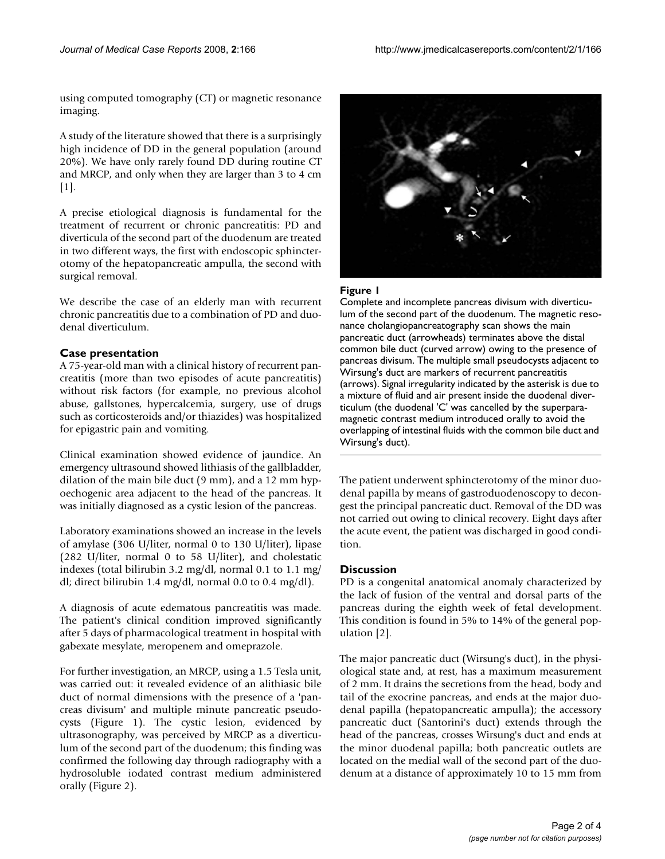using computed tomography (CT) or magnetic resonance imaging.

A study of the literature showed that there is a surprisingly high incidence of DD in the general population (around 20%). We have only rarely found DD during routine CT and MRCP, and only when they are larger than 3 to 4 cm  $[1]$ .

A precise etiological diagnosis is fundamental for the treatment of recurrent or chronic pancreatitis: PD and diverticula of the second part of the duodenum are treated in two different ways, the first with endoscopic sphincterotomy of the hepatopancreatic ampulla, the second with surgical removal.

We describe the case of an elderly man with recurrent chronic pancreatitis due to a combination of PD and duodenal diverticulum.

## **Case presentation**

A 75-year-old man with a clinical history of recurrent pancreatitis (more than two episodes of acute pancreatitis) without risk factors (for example, no previous alcohol abuse, gallstones, hypercalcemia, surgery, use of drugs such as corticosteroids and/or thiazides) was hospitalized for epigastric pain and vomiting.

Clinical examination showed evidence of jaundice. An emergency ultrasound showed lithiasis of the gallbladder, dilation of the main bile duct (9 mm), and a 12 mm hypoechogenic area adjacent to the head of the pancreas. It was initially diagnosed as a cystic lesion of the pancreas.

Laboratory examinations showed an increase in the levels of amylase (306 U/liter, normal 0 to 130 U/liter), lipase (282 U/liter, normal 0 to 58 U/liter), and cholestatic indexes (total bilirubin 3.2 mg/dl, normal 0.1 to 1.1 mg/ dl; direct bilirubin 1.4 mg/dl, normal 0.0 to 0.4 mg/dl).

A diagnosis of acute edematous pancreatitis was made. The patient's clinical condition improved significantly after 5 days of pharmacological treatment in hospital with gabexate mesylate, meropenem and omeprazole.

For further investigation, an MRCP, using a 1.5 Tesla unit, was carried out: it revealed evidence of an alithiasic bile duct of normal dimensions with the presence of a 'pancreas divisum' and multiple minute pancreatic pseudocysts (Figure 1). The cystic lesion, evidenced by ultrasonography, was perceived by MRCP as a diverticulum of the second part of the duodenum; this finding was confirmed the following day through radiography with a hydrosoluble iodated contrast medium administered orally (Figure 2).



## Figure 1

Complete and incomplete pancreas divisum with diverticulum of the second part of the duodenum. The magnetic resonance cholangiopancreatography scan shows the main pancreatic duct (arrowheads) terminates above the distal common bile duct (curved arrow) owing to the presence of pancreas divisum. The multiple small pseudocysts adjacent to Wirsung's duct are markers of recurrent pancreatitis (arrows). Signal irregularity indicated by the asterisk is due to a mixture of fluid and air present inside the duodenal diverticulum (the duodenal 'C' was cancelled by the superparamagnetic contrast medium introduced orally to avoid the overlapping of intestinal fluids with the common bile duct and Wirsung's duct).

The patient underwent sphincterotomy of the minor duodenal papilla by means of gastroduodenoscopy to decongest the principal pancreatic duct. Removal of the DD was not carried out owing to clinical recovery. Eight days after the acute event, the patient was discharged in good condition.

### **Discussion**

PD is a congenital anatomical anomaly characterized by the lack of fusion of the ventral and dorsal parts of the pancreas during the eighth week of fetal development. This condition is found in 5% to 14% of the general population [2].

The major pancreatic duct (Wirsung's duct), in the physiological state and, at rest, has a maximum measurement of 2 mm. It drains the secretions from the head, body and tail of the exocrine pancreas, and ends at the major duodenal papilla (hepatopancreatic ampulla); the accessory pancreatic duct (Santorini's duct) extends through the head of the pancreas, crosses Wirsung's duct and ends at the minor duodenal papilla; both pancreatic outlets are located on the medial wall of the second part of the duodenum at a distance of approximately 10 to 15 mm from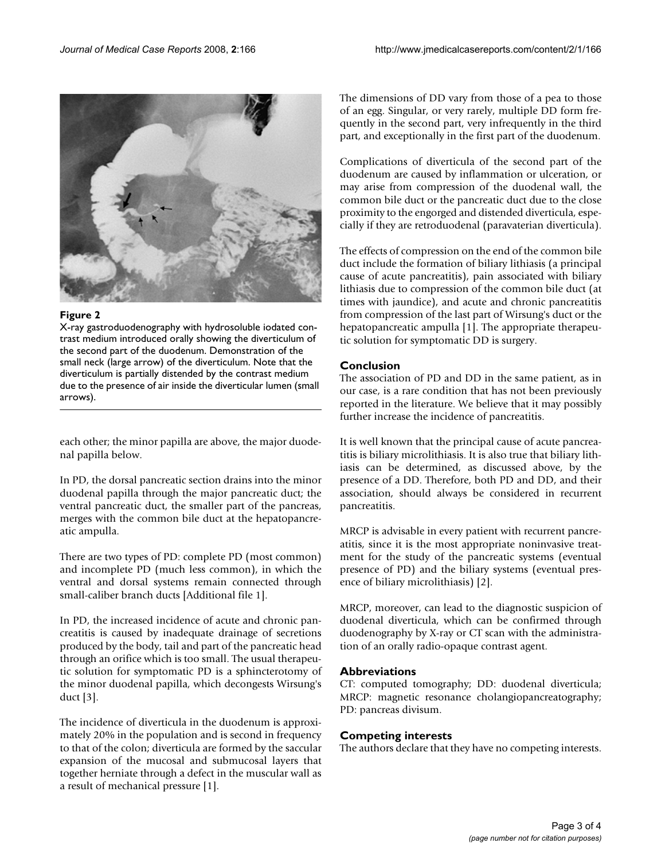

## Figure 2

X-ray gastroduodenography with hydrosoluble iodated contrast medium introduced orally showing the diverticulum of the second part of the duodenum. Demonstration of the small neck (large arrow) of the diverticulum. Note that the diverticulum is partially distended by the contrast medium due to the presence of air inside the diverticular lumen (small arrows).

each other; the minor papilla are above, the major duodenal papilla below.

In PD, the dorsal pancreatic section drains into the minor duodenal papilla through the major pancreatic duct; the ventral pancreatic duct, the smaller part of the pancreas, merges with the common bile duct at the hepatopancreatic ampulla.

There are two types of PD: complete PD (most common) and incomplete PD (much less common), in which the ventral and dorsal systems remain connected through small-caliber branch ducts [Additional file 1].

In PD, the increased incidence of acute and chronic pancreatitis is caused by inadequate drainage of secretions produced by the body, tail and part of the pancreatic head through an orifice which is too small. The usual therapeutic solution for symptomatic PD is a sphincterotomy of the minor duodenal papilla, which decongests Wirsung's duct [3].

The incidence of diverticula in the duodenum is approximately 20% in the population and is second in frequency to that of the colon; diverticula are formed by the saccular expansion of the mucosal and submucosal layers that together herniate through a defect in the muscular wall as a result of mechanical pressure [1].

The dimensions of DD vary from those of a pea to those of an egg. Singular, or very rarely, multiple DD form frequently in the second part, very infrequently in the third part, and exceptionally in the first part of the duodenum.

Complications of diverticula of the second part of the duodenum are caused by inflammation or ulceration, or may arise from compression of the duodenal wall, the common bile duct or the pancreatic duct due to the close proximity to the engorged and distended diverticula, especially if they are retroduodenal (paravaterian diverticula).

The effects of compression on the end of the common bile duct include the formation of biliary lithiasis (a principal cause of acute pancreatitis), pain associated with biliary lithiasis due to compression of the common bile duct (at times with jaundice), and acute and chronic pancreatitis from compression of the last part of Wirsung's duct or the hepatopancreatic ampulla [1]. The appropriate therapeutic solution for symptomatic DD is surgery.

# **Conclusion**

The association of PD and DD in the same patient, as in our case, is a rare condition that has not been previously reported in the literature. We believe that it may possibly further increase the incidence of pancreatitis.

It is well known that the principal cause of acute pancreatitis is biliary microlithiasis. It is also true that biliary lithiasis can be determined, as discussed above, by the presence of a DD. Therefore, both PD and DD, and their association, should always be considered in recurrent pancreatitis.

MRCP is advisable in every patient with recurrent pancreatitis, since it is the most appropriate noninvasive treatment for the study of the pancreatic systems (eventual presence of PD) and the biliary systems (eventual presence of biliary microlithiasis) [2].

MRCP, moreover, can lead to the diagnostic suspicion of duodenal diverticula, which can be confirmed through duodenography by X-ray or CT scan with the administration of an orally radio-opaque contrast agent.

## **Abbreviations**

CT: computed tomography; DD: duodenal diverticula; MRCP: magnetic resonance cholangiopancreatography; PD: pancreas divisum.

## **Competing interests**

The authors declare that they have no competing interests.